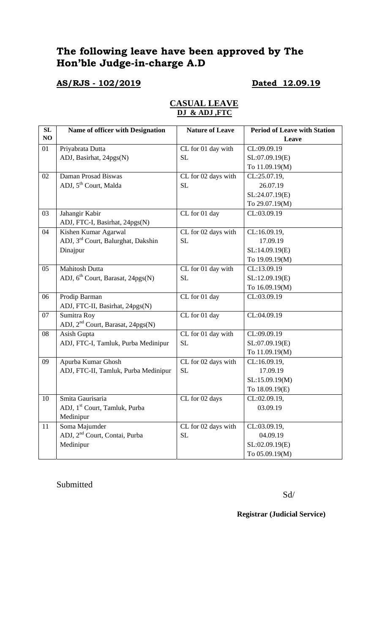# **The following leave have been approved by The Hon'ble Judge-in-charge A.D**

## **AS/RJS - 102/2019 Dated 12.09.19**

| SL | Name of officer with Designation               | <b>Nature of Leave</b> | <b>Period of Leave with Station</b> |
|----|------------------------------------------------|------------------------|-------------------------------------|
| NO |                                                |                        | Leave                               |
| 01 | Priyabrata Dutta                               | CL for 01 day with     | CL:09.09.19                         |
|    | ADJ, Basirhat, 24pgs(N)                        | <b>SL</b>              | SL:07.09.19(E)                      |
|    |                                                |                        | To 11.09.19(M)                      |
| 02 | Daman Prosad Biswas                            | CL for 02 days with    | CL:25.07.19,                        |
|    | ADJ, 5 <sup>th</sup> Court, Malda              | <b>SL</b>              | 26.07.19                            |
|    |                                                |                        | SL:24.07.19(E)                      |
|    |                                                |                        | To 29.07.19(M)                      |
| 03 | Jahangir Kabir                                 | CL for 01 day          | CL:03.09.19                         |
|    | ADJ, FTC-I, Basirhat, 24pgs(N)                 |                        |                                     |
| 04 | Kishen Kumar Agarwal                           | CL for 02 days with    | CL:16.09.19,                        |
|    | ADJ, 3 <sup>rd</sup> Court, Balurghat, Dakshin | SL                     | 17.09.19                            |
|    | Dinajpur                                       |                        | SL:14.09.19(E)                      |
|    |                                                |                        | To 19.09.19(M)                      |
| 05 | <b>Mahitosh Dutta</b>                          | CL for 01 day with     | CL:13.09.19                         |
|    | ADJ, $6th$ Court, Barasat, 24pgs(N)            | <b>SL</b>              | SL:12.09.19(E)                      |
|    |                                                |                        | To 16.09.19(M)                      |
| 06 | Prodip Barman                                  | CL for 01 day          | CL:03.09.19                         |
|    | ADJ, FTC-II, Basirhat, 24pgs(N)                |                        |                                     |
| 07 | Sumitra Roy                                    | CL for 01 day          | CL:04.09.19                         |
|    | ADJ, 2 <sup>nd</sup> Court, Barasat, 24pgs(N)  |                        |                                     |
| 08 | Asish Gupta                                    | CL for 01 day with     | CL:09.09.19                         |
|    | ADJ, FTC-I, Tamluk, Purba Medinipur            | <b>SL</b>              | SL:07.09.19(E)                      |
|    |                                                |                        | To 11.09.19(M)                      |
| 09 | Apurba Kumar Ghosh                             | CL for 02 days with    | CL:16.09.19,                        |
|    | ADJ, FTC-II, Tamluk, Purba Medinipur           | <b>SL</b>              | 17.09.19                            |
|    |                                                |                        | SL:15.09.19(M)                      |
|    |                                                |                        | To 18.09.19(E)                      |
| 10 | Smita Gaurisaria                               | CL for 02 days         | CL:02.09.19,                        |
|    | ADJ, 1 <sup>st</sup> Court, Tamluk, Purba      |                        | 03.09.19                            |
|    | Medinipur                                      |                        |                                     |
| 11 | Soma Majumder                                  | CL for 02 days with    | CL:03.09.19,                        |
|    | ADJ, 2 <sup>nd</sup> Court, Contai, Purba      | SL                     | 04.09.19                            |
|    | Medinipur                                      |                        | SL:02.09.19(E)                      |
|    |                                                |                        | To 05.09.19(M)                      |

## **CASUAL LEAVE DJ & ADJ ,FTC**

Submitted

Sd/

**Registrar (Judicial Service)**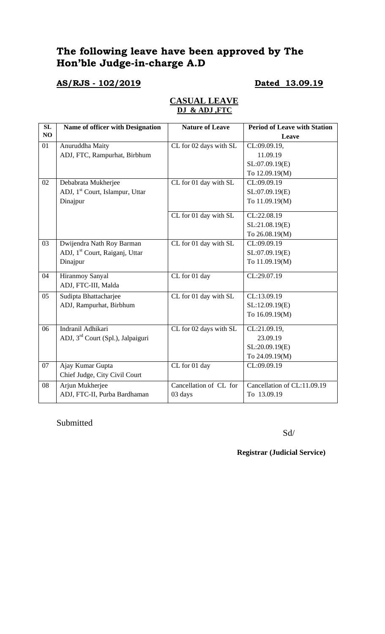# **The following leave have been approved by The Hon'ble Judge-in-charge A.D**

## **AS/RJS - 102/2019 Dated 13.09.19**

### **CASUAL LEAVE DJ & ADJ ,FTC**

| SL | Name of officer with Designation              | <b>Nature of Leave</b> | <b>Period of Leave with Station</b> |
|----|-----------------------------------------------|------------------------|-------------------------------------|
| NO |                                               |                        | Leave                               |
| 01 | Anuruddha Maity                               | CL for 02 days with SL | CL:09.09.19,                        |
|    | ADJ, FTC, Rampurhat, Birbhum                  |                        | 11.09.19                            |
|    |                                               |                        | SL:07.09.19(E)                      |
|    |                                               |                        | To 12.09.19(M)                      |
| 02 | Debabrata Mukherjee                           | CL for 01 day with SL  | CL:09.09.19                         |
|    | ADJ, 1 <sup>st</sup> Court, Islampur, Uttar   |                        | SL:07.09.19(E)                      |
|    | Dinajpur                                      |                        | To 11.09.19(M)                      |
|    |                                               | CL for 01 day with SL  | CL:22.08.19                         |
|    |                                               |                        | SL:21.08.19(E)                      |
|    |                                               |                        | To 26.08.19(M)                      |
| 03 | Dwijendra Nath Roy Barman                     | CL for 01 day with SL  | CL:09.09.19                         |
|    | ADJ, 1 <sup>st</sup> Court, Raiganj, Uttar    |                        | SL:07.09.19(E)                      |
|    | Dinajpur                                      |                        | To 11.09.19(M)                      |
| 04 | Hiranmoy Sanyal                               | CL for 01 day          | CL:29.07.19                         |
|    | ADJ, FTC-III, Malda                           |                        |                                     |
| 05 | Sudipta Bhattacharjee                         | CL for 01 day with SL  | CL:13.09.19                         |
|    | ADJ, Rampurhat, Birbhum                       |                        | SL:12.09.19(E)                      |
|    |                                               |                        | To 16.09.19(M)                      |
| 06 | Indranil Adhikari                             | CL for 02 days with SL | CL:21.09.19,                        |
|    | ADJ, 3 <sup>rd</sup> Court (Spl.), Jalpaiguri |                        | 23.09.19                            |
|    |                                               |                        | SL:20.09.19(E)                      |
|    |                                               |                        | To 24.09.19(M)                      |
| 07 | Ajay Kumar Gupta                              | CL for 01 day          | CL:09.09.19                         |
|    | Chief Judge, City Civil Court                 |                        |                                     |
| 08 | Arjun Mukherjee                               | Cancellation of CL for | Cancellation of CL:11.09.19         |
|    | ADJ, FTC-II, Purba Bardhaman                  | 03 days                | To 13.09.19                         |

Submitted

Sd/

**Registrar (Judicial Service)**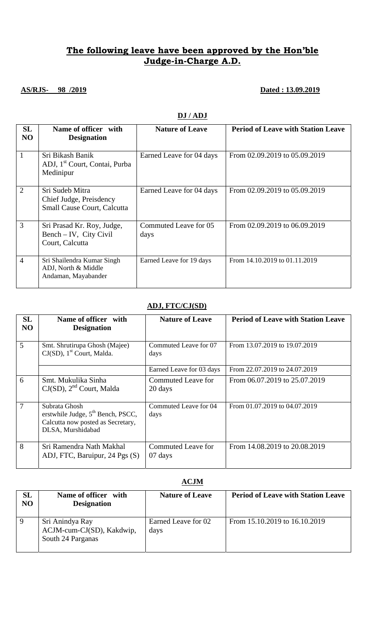## **The following leave have been approved by the Hon'ble Judge-in-Charge A.D.**

## **AS/RJS- 98 /2019 Dated : 13.09.2019**

| SL<br>N <sub>O</sub> | Name of officer with<br><b>Designation</b>                                 | <b>Nature of Leave</b>        | <b>Period of Leave with Station Leave</b> |
|----------------------|----------------------------------------------------------------------------|-------------------------------|-------------------------------------------|
| $\mathbf{1}$         | Sri Bikash Banik<br>ADJ, 1 <sup>st</sup> Court, Contai, Purba<br>Medinipur | Earned Leave for 04 days      | From 02.09.2019 to 05.09.2019             |
| $\overline{2}$       | Sri Sudeb Mitra<br>Chief Judge, Preisdency<br>Small Cause Court, Calcutta  | Earned Leave for 04 days      | From 02.09.2019 to 05.09.2019             |
| 3                    | Sri Prasad Kr. Roy, Judge,<br>$Bench - IV$ , City Civil<br>Court, Calcutta | Commuted Leave for 05<br>days | From 02.09.2019 to 06.09.2019             |
| $\overline{4}$       | Sri Shailendra Kumar Singh<br>ADJ, North & Middle<br>Andaman, Mayabander   | Earned Leave for 19 days      | From 14.10.2019 to 01.11.2019             |

### **DJ / ADJ**

### **ADJ, FTC/CJ(SD)**

| <b>SL</b><br>N <sub>O</sub> | Name of officer with<br><b>Designation</b>                                                                     | <b>Nature of Leave</b>        | <b>Period of Leave with Station Leave</b> |
|-----------------------------|----------------------------------------------------------------------------------------------------------------|-------------------------------|-------------------------------------------|
| 5                           | Smt. Shrutirupa Ghosh (Majee)<br>$CJ(SD)$ , 1 <sup>st</sup> Court, Malda.                                      | Commuted Leave for 07<br>days | From 13.07.2019 to 19.07.2019             |
|                             |                                                                                                                | Earned Leave for 03 days      | From 22.07.2019 to 24.07.2019             |
| 6                           | Smt. Mukulika Sinha<br>$CJ(SD)$ , $2nd$ Court, Malda                                                           | Commuted Leave for<br>20 days | From 06.07.2019 to 25.07.2019             |
| $\overline{7}$              | Subrata Ghosh<br>erstwhile Judge, $5th$ Bench, PSCC,<br>Calcutta now posted as Secretary,<br>DLSA, Murshidabad | Commuted Leave for 04<br>days | From 01.07.2019 to 04.07.2019             |
| 8                           | Sri Ramendra Nath Makhal<br>ADJ, FTC, Baruipur, 24 Pgs (S)                                                     | Commuted Leave for<br>07 days | From 14.08.2019 to 20.08.2019             |

### **ACJM**

| SL<br>N <sub>O</sub> | Name of officer with<br><b>Designation</b>                        | <b>Nature of Leave</b>      | <b>Period of Leave with Station Leave</b> |
|----------------------|-------------------------------------------------------------------|-----------------------------|-------------------------------------------|
| 9                    | Sri Anindya Ray<br>ACJM-cum-CJ(SD), Kakdwip,<br>South 24 Parganas | Earned Leave for 02<br>days | From 15.10.2019 to 16.10.2019             |